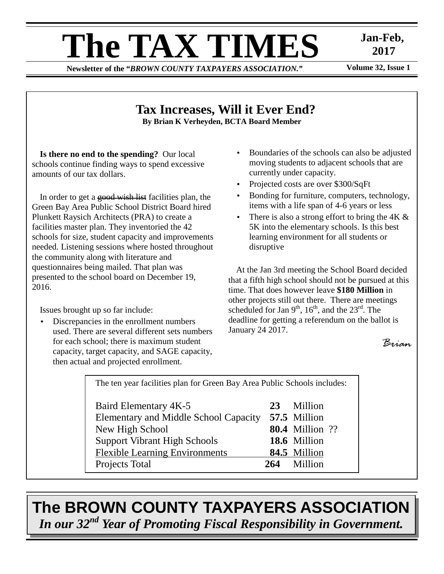# **The TAX TIMES** Jan-Feb,<br>Newsletter of the "RROWN COUNTY TAXPAYERS ASSOCIATION"

**Newsletter of the "BROWN COUNTY TAXPAYERS ASSOCIATION."** 

 **2017** 

### **Tax Increases, Will it Ever End? By Brian K Verheyden, BCTA Board Member**

**Is there no end to the spending?** Our local schools continue finding ways to spend excessive amounts of our tax dollars.

In order to get a good wish list facilities plan, the Green Bay Area Public School District Board hired Plunkett Raysich Architects (PRA) to create a facilities master plan. They inventoried the 42 schools for size, student capacity and improvements needed. Listening sessions where hosted throughout the community along with literature and questionnaires being mailed. That plan was presented to the school board on December 19, 2016.

Issues brought up so far include:

• Discrepancies in the enrollment numbers used. There are several different sets numbers for each school; there is maximum student capacity, target capacity, and SAGE capacity, then actual and projected enrollment.

- Boundaries of the schools can also be adjusted moving students to adjacent schools that are currently under capacity.
- Projected costs are over \$300/SqFt
- Bonding for furniture, computers, technology, items with a life span of 4-6 years or less
- There is also a strong effort to bring the  $4K \&$ 5K into the elementary schools. Is this best learning environment for all students or disruptive

At the Jan 3rd meeting the School Board decided that a fifth high school should not be pursued at this time. That does however leave **\$180 Million** in other projects still out there. There are meetings scheduled for Jan  $9<sup>th</sup>$ ,  $16<sup>th</sup>$ , and the  $23<sup>rd</sup>$ . The deadline for getting a referendum on the ballot is January 24 2017.

```
Brian
```
The ten year facilities plan for Green Bay Area Public Schools includes: Baird Elementary 4K-5 **23** Million Elementary and Middle School Capacity **57.5** Million New High School **80.4** Million ??

Support Vibrant High Schools **18.6** Million Flexible Learning Environments **84.5** Million Projects Total **264** Million

**The BROWN COUNTY TAXPAYERS ASSOCIATION**  *In our 32nd Year of Promoting Fiscal Responsibility in Government.*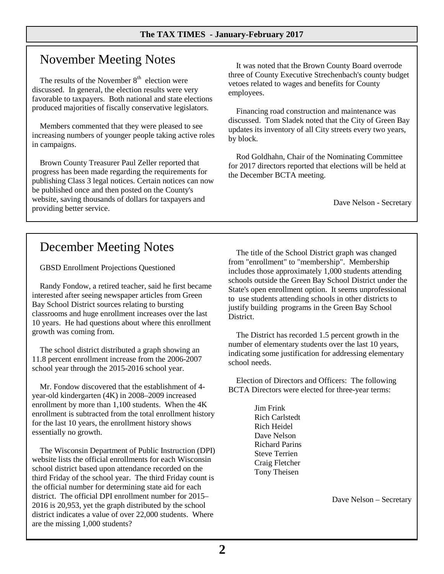## November Meeting Notes

The results of the November  $8<sup>th</sup>$  election were discussed. In general, the election results were very favorable to taxpayers. Both national and state elections produced majorities of fiscally conservative legislators.

Members commented that they were pleased to see increasing numbers of younger people taking active roles in campaigns.

Brown County Treasurer Paul Zeller reported that progress has been made regarding the requirements for publishing Class 3 legal notices. Certain notices can now be published once and then posted on the County's website, saving thousands of dollars for taxpayers and providing better service.

It was noted that the Brown County Board overrode three of County Executive Strechenbach's county budget vetoes related to wages and benefits for County employees.

Financing road construction and maintenance was discussed. Tom Sladek noted that the City of Green Bay updates its inventory of all City streets every two years, by block.

Rod Goldhahn, Chair of the Nominating Committee for 2017 directors reported that elections will be held at the December BCTA meeting.

Dave Nelson - Secretary

## December Meeting Notes

GBSD Enrollment Projections Questioned

Randy Fondow, a retired teacher, said he first became interested after seeing newspaper articles from Green Bay School District sources relating to bursting classrooms and huge enrollment increases over the last 10 years. He had questions about where this enrollment growth was coming from.

The school district distributed a graph showing an 11.8 percent enrollment increase from the 2006-2007 school year through the 2015-2016 school year.

Mr. Fondow discovered that the establishment of 4 year-old kindergarten (4K) in 2008–2009 increased enrollment by more than 1,100 students. When the 4K enrollment is subtracted from the total enrollment history for the last 10 years, the enrollment history shows essentially no growth.

The Wisconsin Department of Public Instruction (DPI) website lists the official enrollments for each Wisconsin school district based upon attendance recorded on the third Friday of the school year. The third Friday count is the official number for determining state aid for each district. The official DPI enrollment number for 2015– 2016 is 20,953, yet the graph distributed by the school district indicates a value of over 22,000 students. Where are the missing 1,000 students?

The title of the School District graph was changed from "enrollment" to "membership". Membership includes those approximately 1,000 students attending schools outside the Green Bay School District under the State's open enrollment option. It seems unprofessional to use students attending schools in other districts to justify building programs in the Green Bay School District.

The District has recorded 1.5 percent growth in the number of elementary students over the last 10 years, indicating some justification for addressing elementary school needs.

Election of Directors and Officers: The following BCTA Directors were elected for three-year terms:

> Jim Frink Rich Carlstedt Rich Heidel Dave Nelson Richard Parins Steve Terrien Craig Fletcher Tony Theisen

> > Dave Nelson – Secretary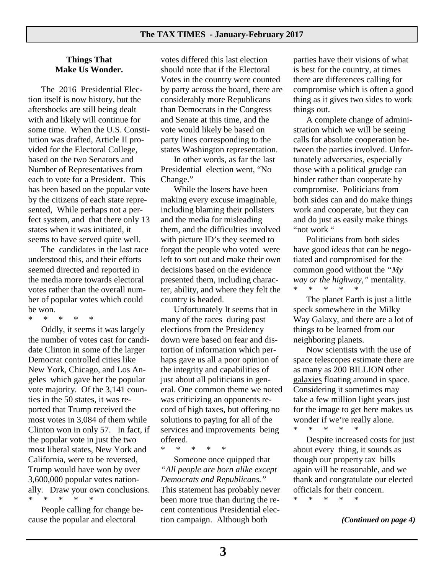#### **Things That Make Us Wonder.**

 The 2016 Presidential Election itself is now history, but the aftershocks are still being dealt with and likely will continue for some time. When the U.S. Constitution was drafted, Article II provided for the Electoral College, based on the two Senators and Number of Representatives from each to vote for a President. This has been based on the popular vote by the citizens of each state represented, While perhaps not a perfect system, and that there only 13 states when it was initiated, it seems to have served quite well.

 The candidates in the last race understood this, and their efforts seemed directed and reported in the media more towards electoral votes rather than the overall number of popular votes which could be won.<br>\*  $*$ 

\* \* \* \* \*

 Oddly, it seems it was largely the number of votes cast for candidate Clinton in some of the larger Democrat controlled cities like New York, Chicago, and Los Angeles which gave her the popular vote majority. Of the 3,141 counties in the 50 states, it was reported that Trump received the most votes in 3,084 of them while Clinton won in only 57. In fact, if the popular vote in just the two most liberal states, New York and California, were to be reversed, Trump would have won by over 3,600,000 popular votes nationally. Draw your own conclusions. \* \* \* \* \*

 People calling for change because the popular and electoral

votes differed this last election should note that if the Electoral Votes in the country were counted by party across the board, there are considerably more Republicans than Democrats in the Congress and Senate at this time, and the vote would likely be based on party lines corresponding to the states Washington representation.

 In other words, as far the last Presidential election went, "No Change."

 While the losers have been making every excuse imaginable, including blaming their pollsters and the media for misleading them, and the difficulties involved with picture ID's they seemed to forgot the people who voted were left to sort out and make their own decisions based on the evidence presented them, including character, ability, and where they felt the country is headed.

 Unfortunately It seems that in many of the races during past elections from the Presidency down were based on fear and distortion of information which perhaps gave us all a poor opinion of the integrity and capabilities of just about all politicians in general. One common theme we noted was criticizing an opponents record of high taxes, but offering no solutions to paying for all of the services and improvements being offered.

\* \* \* \* \*

 Someone once quipped that *"All people are born alike except Democrats and Republicans."*  This statement has probably never been more true than during the recent contentious Presidential election campaign. Although both

parties have their visions of what is best for the country, at times there are differences calling for compromise which is often a good thing as it gives two sides to work things out.

 A complete change of administration which we will be seeing calls for absolute cooperation between the parties involved. Unfortunately adversaries, especially those with a political grudge can hinder rather than cooperate by compromise. Politicians from both sides can and do make things work and cooperate, but they can and do just as easily make things "not work "

 Politicians from both sides have good ideas that can be negotiated and compromised for the common good without the *"My way or the highway,*" mentality.<br>\* \* \* \* \* \* \* \* \* \* \*

 The planet Earth is just a little speck somewhere in the Milky Way Galaxy, and there are a lot of things to be learned from our neighboring planets.

 Now scientists with the use of space telescopes estimate there are as many as 200 BILLION other galaxies floating around in space. Considering it sometimes may take a few million light years just for the image to get here makes us wonder if we're really alone. \* \* \* \* \*

 Despite increased costs for just about every thing, it sounds as though our property tax bills again will be reasonable, and we thank and congratulate our elected officials for their concern.

\* \* \* \* \*

*(Continued on page 4)*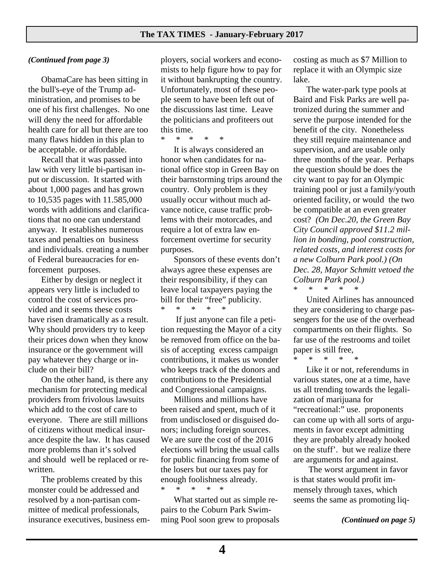#### *(Continued from page 3)*

 ObamaCare has been sitting in the bull's-eye of the Trump administration, and promises to be one of his first challenges. No one will deny the need for affordable health care for all but there are too many flaws hidden in this plan to be acceptable. or affordable.

 Recall that it was passed into law with very little bi-partisan input or discussion. It started with about 1,000 pages and has grown to 10,535 pages with 11.585,000 words with additions and clarifications that no one can understand anyway. It establishes numerous taxes and penalties on business and individuals. creating a number of Federal bureaucracies for enforcement purposes.

 Either by design or neglect it appears very little is included to control the cost of services provided and it seems these costs have risen dramatically as a result. Why should providers try to keep their prices down when they know insurance or the government will pay whatever they charge or include on their bill?

 On the other hand, is there any mechanism for protecting medical providers from frivolous lawsuits which add to the cost of care to everyone. There are still millions of citizens without medical insurance despite the law. It has caused more problems than it's solved and should well be replaced or rewritten.

 The problems created by this monster could be addressed and resolved by a non-partisan committee of medical professionals, insurance executives, business em-

ployers, social workers and economists to help figure how to pay for it without bankrupting the country. Unfortunately, most of these people seem to have been left out of the discussions last time. Leave the politicians and profiteers out this time.

\* \* \* \* \*

 It is always considered an honor when candidates for national office stop in Green Bay on their barnstorming trips around the country. Only problem is they usually occur without much advance notice, cause traffic problems with their motorcades, and require a lot of extra law enforcement overtime for security purposes.

 Sponsors of these events don't always agree these expenses are their responsibility, if they can leave local taxpayers paying the bill for their "free" publicity. \* \* \* \* \*

 If just anyone can file a petition requesting the Mayor of a city be removed from office on the basis of accepting excess campaign contributions, it makes us wonder who keeps track of the donors and contributions to the Presidential and Congressional campaigns.

 Millions and millions have been raised and spent, much of it from undisclosed or disguised donors; including foreign sources. We are sure the cost of the 2016 elections will bring the usual calls for public financing from some of the losers but our taxes pay for enough foolishness already. \* \* \* \* \*

 What started out as simple repairs to the Coburn Park Swimming Pool soon grew to proposals costing as much as \$7 Million to replace it with an Olympic size lake.

 The water-park type pools at Baird and Fisk Parks are well patronized during the summer and serve the purpose intended for the benefit of the city. Nonetheless they still require maintenance and supervision, and are usable only three months of the year. Perhaps the question should be does the city want to pay for an Olympic training pool or just a family/youth oriented facility, or would the two be compatible at an even greater cost? *(On Dec.20, the Green Bay City Council approved \$11.2 million in bonding, pool construction, related costs, and interest costs for a new Colburn Park pool.) (On Dec. 28, Mayor Schmitt vetoed the Colburn Park pool.)*

\* \* \* \* \*

 United Airlines has announced they are considering to charge passengers for the use of the overhead compartments on their flights. So far use of the restrooms and toilet paper is still free,

\* \* \* \* \*

 Like it or not, referendums in various states, one at a time, have us all trending towards the legalization of marijuana for "recreational:" use. proponents can come up with all sorts of arguments in favor except admitting they are probably already hooked on the stuff'. but we realize there are arguments for and against.

 The worst argument in favor is that states would profit immensely through taxes, which seems the same as promoting liq-

*(Continued on page 5)*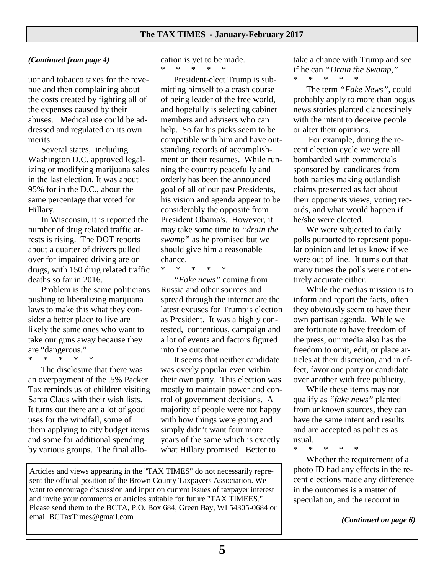#### *(Continued from page 4)*

uor and tobacco taxes for the revenue and then complaining about the costs created by fighting all of the expenses caused by their abuses. Medical use could be addressed and regulated on its own merits.

 Several states, including Washington D.C. approved legalizing or modifying marijuana sales in the last election. It was about 95% for in the D.C., about the same percentage that voted for Hillary.

 In Wisconsin, it is reported the number of drug related traffic arrests is rising. The DOT reports about a quarter of drivers pulled over for impaired driving are on drugs, with 150 drug related traffic deaths so far in 2016.

 Problem is the same politicians pushing to liberalizing marijuana laws to make this what they consider a better place to live are likely the same ones who want to take our guns away because they are "dangerous."

\* \* \* \* \*

 The disclosure that there was an overpayment of the .5% Packer Tax reminds us of children visiting Santa Claus with their wish lists. It turns out there are a lot of good uses for the windfall, some of them applying to city budget items and some for additional spending by various groups. The final allocation is yet to be made. \* \* \* \* \*

 President-elect Trump is submitting himself to a crash course of being leader of the free world, and hopefully is selecting cabinet members and advisers who can help. So far his picks seem to be compatible with him and have outstanding records of accomplishment on their resumes. While running the country peacefully and orderly has been the announced goal of all of our past Presidents, his vision and agenda appear to be considerably the opposite from President Obama's. However, it may take some time to *"drain the swamp"* as he promised but we should give him a reasonable chance.

\* \* \* \* \*

 *"Fake news"* coming from Russia and other sources and spread through the internet are the latest excuses for Trump's election as President. It was a highly contested, contentious, campaign and a lot of events and factors figured into the outcome.

 It seems that neither candidate was overly popular even within their own party. This election was mostly to maintain power and control of government decisions. A majority of people were not happy with how things were going and simply didn't want four more years of the same which is exactly what Hillary promised. Better to

Articles and views appearing in the "TAX TIMES" do not necessarily represent the official position of the Brown County Taxpayers Association. We want to encourage discussion and input on current issues of taxpayer interest and invite your comments or articles suitable for future "TAX TIMEES." Please send them to the BCTA, P.O. Box 684, Green Bay, WI 54305-0684 or email BCTaxTimes@gmail.com

take a chance with Trump and see if he can *"Drain the Swamp,"*  \* \* \* \* \*

 The term *"Fake News",* could probably apply to more than bogus news stories planted clandestinely with the intent to deceive people or alter their opinions.

 For example, during the recent election cycle we were all bombarded with commercials sponsored by candidates from both parties making outlandish claims presented as fact about their opponents views, voting records, and what would happen if he/she were elected.

 We were subjected to daily polls purported to represent popular opinion and let us know if we were out of line. It turns out that many times the polls were not entirely accurate either.

 While the medias mission is to inform and report the facts, often they obviously seem to have their own partisan agenda. While we are fortunate to have freedom of the press, our media also has the freedom to omit, edit, or place articles at their discretion, and in effect, favor one party or candidate over another with free publicity.

 While these items may not qualify as *"fake news"* planted from unknown sources, they can have the same intent and results and are accepted as politics as usual.

\* \* \* \* \*

 Whether the requirement of a photo ID had any effects in the recent elections made any difference in the outcomes is a matter of speculation, and the recount in

*(Continued on page 6)*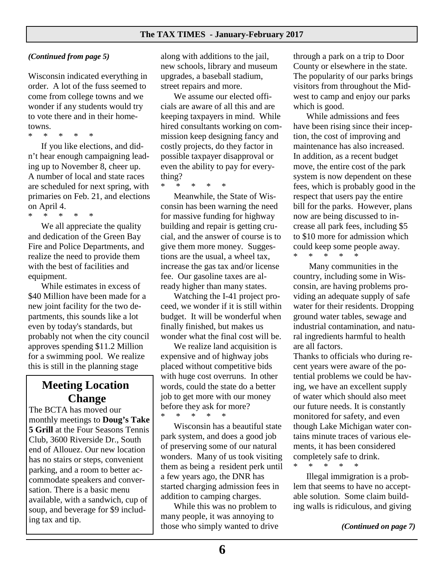#### *(Continued from page 5)*

Wisconsin indicated everything in order. A lot of the fuss seemed to come from college towns and we wonder if any students would try to vote there and in their hometowns.

\* \* \* \* \*

 If you like elections, and didn't hear enough campaigning leading up to November 8, cheer up. A number of local and state races are scheduled for next spring, with primaries on Feb. 21, and elections on April 4. \* \* \* \* \*

 We all appreciate the quality and dedication of the Green Bay Fire and Police Departments, and realize the need to provide them with the best of facilities and equipment.

 While estimates in excess of \$40 Million have been made for a new joint facility for the two departments, this sounds like a lot even by today's standards, but probably not when the city council approves spending \$11.2 Million for a swimming pool. We realize this is still in the planning stage

## **Meeting Location Change**

The BCTA has moved our monthly meetings to **Doug's Take 5 Grill** at the Four Seasons Tennis Club, 3600 Riverside Dr., South end of Allouez. Our new location has no stairs or steps, convenient parking, and a room to better accommodate speakers and conversation. There is a basic menu available, with a sandwich, cup of soup, and beverage for \$9 including tax and tip.

along with additions to the jail, new schools, library and museum upgrades, a baseball stadium, street repairs and more.

 We assume our elected officials are aware of all this and are keeping taxpayers in mind. While hired consultants working on commission keep designing fancy and costly projects, do they factor in possible taxpayer disapproval or even the ability to pay for everything?

\* \* \* \* \*

 Meanwhile, the State of Wisconsin has been warning the need for massive funding for highway building and repair is getting crucial, and the answer of course is to give them more money. Suggestions are the usual, a wheel tax, increase the gas tax and/or license fee. Our gasoline taxes are already higher than many states.

 Watching the I-41 project proceed, we wonder if it is still within budget. It will be wonderful when finally finished, but makes us wonder what the final cost will be.

 We realize land acquisition is expensive and of highway jobs placed without competitive bids with huge cost overruns. In other words, could the state do a better job to get more with our money before they ask for more? \* \* \* \* \*

 Wisconsin has a beautiful state park system, and does a good job of preserving some of our natural wonders. Many of us took visiting them as being a resident perk until a few years ago, the DNR has started charging admission fees in addition to camping charges.

 While this was no problem to many people, it was annoying to those who simply wanted to drive through a park on a trip to Door County or elsewhere in the state. The popularity of our parks brings visitors from throughout the Midwest to camp and enjoy our parks which is good.

 While admissions and fees have been rising since their inception, the cost of improving and maintenance has also increased. In addition, as a recent budget move, the entire cost of the park system is now dependent on these fees, which is probably good in the respect that users pay the entire bill for the parks. However, plans now are being discussed to increase all park fees, including \$5 to \$10 more for admission which could keep some people away. \* \* \* \* \*

Many communities in the country, including some in Wisconsin, are having problems providing an adequate supply of safe water for their residents. Dropping ground water tables, sewage and industrial contamination, and natural ingredients harmful to health are all factors.

Thanks to officials who during recent years were aware of the potential problems we could be having, we have an excellent supply of water which should also meet our future needs. It is constantly monitored for safety, and even though Lake Michigan water contains minute traces of various elements, it has been considered completely safe to drink. \* \* \* \* \*

 Illegal immigration is a problem that seems to have no acceptable solution. Some claim building walls is ridiculous, and giving

*(Continued on page 7)*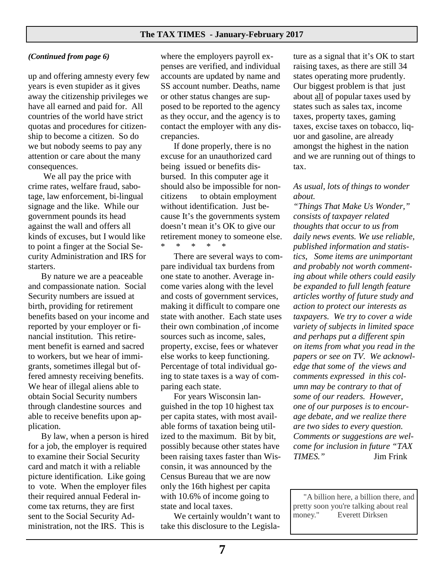#### **The TAX TIMES - January-February 2017**

#### *(Continued from page 6)*

up and offering amnesty every few years is even stupider as it gives away the citizenship privileges we have all earned and paid for. All countries of the world have strict quotas and procedures for citizenship to become a citizen. So do we but nobody seems to pay any attention or care about the many consequences.

 We all pay the price with crime rates, welfare fraud, sabotage, law enforcement, bi-lingual signage and the like. While our government pounds its head against the wall and offers all kinds of excuses, but I would like to point a finger at the Social Security Administration and IRS for starters.

 By nature we are a peaceable and compassionate nation. Social Security numbers are issued at birth, providing for retirement benefits based on your income and reported by your employer or financial institution. This retirement benefit is earned and sacred to workers, but we hear of immigrants, sometimes illegal but offered amnesty receiving benefits. We hear of illegal aliens able to obtain Social Security numbers through clandestine sources and able to receive benefits upon application.

 By law, when a person is hired for a job, the employer is required to examine their Social Security card and match it with a reliable picture identification. Like going to vote. When the employer files their required annual Federal income tax returns, they are first sent to the Social Security Administration, not the IRS. This is

where the employers payroll expenses are verified, and individual accounts are updated by name and SS account number. Deaths, name or other status changes are supposed to be reported to the agency as they occur, and the agency is to contact the employer with any discrepancies.

 If done properly, there is no excuse for an unauthorized card being issued or benefits disbursed. In this computer age it should also be impossible for noncitizens to obtain employment without identification. Just because It's the governments system doesn't mean it's OK to give our retirement money to someone else. \* \* \* \* \*

 There are several ways to compare individual tax burdens from one state to another. Average income varies along with the level and costs of government services, making it difficult to compare one state with another. Each state uses their own combination ,of income sources such as income, sales, property, excise, fees or whatever else works to keep functioning. Percentage of total individual going to state taxes is a way of comparing each state.

 For years Wisconsin languished in the top 10 highest tax per capita states, with most available forms of taxation being utilized to the maximum. Bit by bit, possibly because other states have been raising taxes faster than Wisconsin, it was announced by the Census Bureau that we are now only the 16th highest per capita with 10.6% of income going to state and local taxes.

We certainly wouldn't want to take this disclosure to the Legislature as a signal that it's OK to start raising taxes, as there are still 34 states operating more prudently. Our biggest problem is that just about all of popular taxes used by states such as sales tax, income taxes, property taxes, gaming taxes, excise taxes on tobacco, liquor and gasoline, are already amongst the highest in the nation and we are running out of things to tax.

#### *As usual, lots of things to wonder about.*

*"Things That Make Us Wonder," consists of taxpayer related thoughts that occur to us from daily news events. We use reliable, published information and statistics, Some items are unimportant and probably not worth commenting about while others could easily be expanded to full length feature articles worthy of future study and action to protect our interests as taxpayers. We try to cover a wide variety of subjects in limited space and perhaps put a different spin on items from what you read in the papers or see on TV. We acknowledge that some of the views and comments expressed in this column may be contrary to that of some of our readers. However, one of our purposes is to encourage debate, and we realize there are two sides to every question. Comments or suggestions are welcome for inclusion in future "TAX TIMES."* Jim Frink

"A billion here, a billion there, and pretty soon you're talking about real money." Everett Dirksen